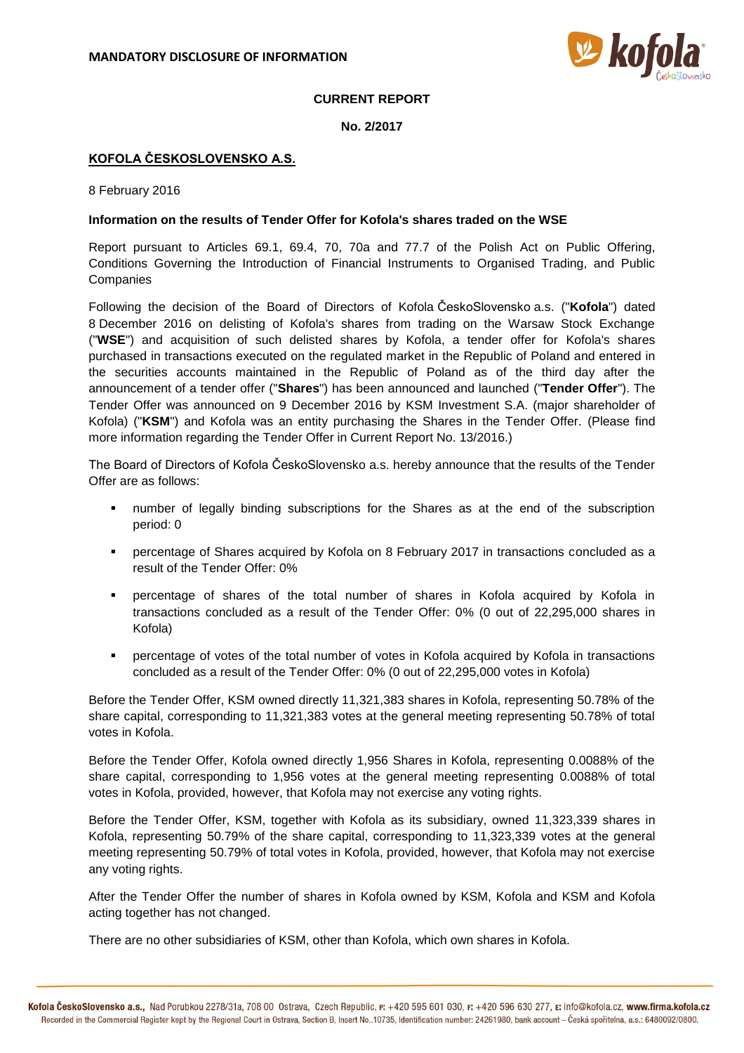

## **CURRENT REPORT**

## **No. 2/2017**

## **KOFOLA ČESKOSLOVENSKO A.S.**

8 February 2016

## **Information on the results of Tender Offer for Kofola's shares traded on the WSE**

Report pursuant to Articles 69.1, 69.4, 70, 70a and 77.7 of the Polish Act on Public Offering, Conditions Governing the Introduction of Financial Instruments to Organised Trading, and Public Companies

Following the decision of the Board of Directors of Kofola ČeskoSlovensko a.s. ("**Kofola**") dated 8 December 2016 on delisting of Kofola's shares from trading on the Warsaw Stock Exchange ("**WSE**") and acquisition of such delisted shares by Kofola, a tender offer for Kofola's shares purchased in transactions executed on the regulated market in the Republic of Poland and entered in the securities accounts maintained in the Republic of Poland as of the third day after the announcement of a tender offer ("**Shares**") has been announced and launched ("**Tender Offer**"). The Tender Offer was announced on 9 December 2016 by KSM Investment S.A. (major shareholder of Kofola) ("**KSM**") and Kofola was an entity purchasing the Shares in the Tender Offer. (Please find more information regarding the Tender Offer in Current Report No. 13/2016.)

The Board of Directors of Kofola ČeskoSlovensko a.s. hereby announce that the results of the Tender Offer are as follows:

- number of legally binding subscriptions for the Shares as at the end of the subscription period: 0
- percentage of Shares acquired by Kofola on 8 February 2017 in transactions concluded as a result of the Tender Offer: 0%
- percentage of shares of the total number of shares in Kofola acquired by Kofola in transactions concluded as a result of the Tender Offer: 0% (0 out of 22,295,000 shares in Kofola)
- percentage of votes of the total number of votes in Kofola acquired by Kofola in transactions concluded as a result of the Tender Offer: 0% (0 out of 22,295,000 votes in Kofola)

Before the Tender Offer, KSM owned directly 11,321,383 shares in Kofola, representing 50.78% of the share capital, corresponding to 11,321,383 votes at the general meeting representing 50.78% of total votes in Kofola.

Before the Tender Offer, Kofola owned directly 1,956 Shares in Kofola, representing 0.0088% of the share capital, corresponding to 1,956 votes at the general meeting representing 0.0088% of total votes in Kofola, provided, however, that Kofola may not exercise any voting rights.

Before the Tender Offer, KSM, together with Kofola as its subsidiary, owned 11,323,339 shares in Kofola, representing 50.79% of the share capital, corresponding to 11,323,339 votes at the general meeting representing 50.79% of total votes in Kofola, provided, however, that Kofola may not exercise any voting rights.

After the Tender Offer the number of shares in Kofola owned by KSM, Kofola and KSM and Kofola acting together has not changed.

There are no other subsidiaries of KSM, other than Kofola, which own shares in Kofola.